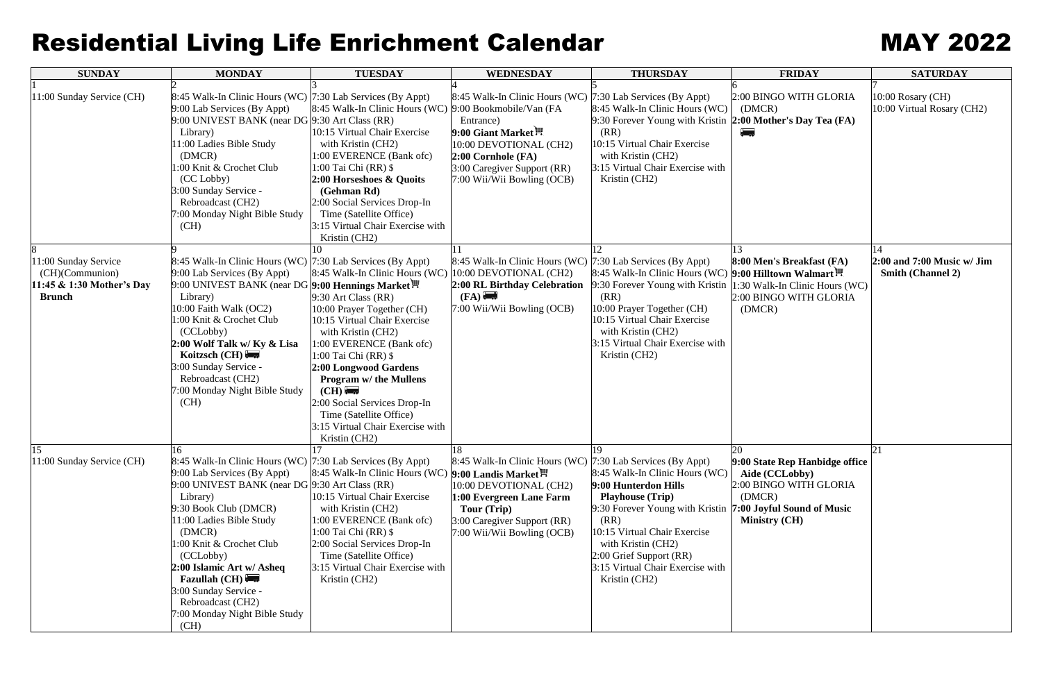## Residential Living Life Enrichment Calendar MAY 2022

| <b>SUNDAY</b>                                                                         | <b>MONDAY</b>                                                                                                                                                                                                                                                                                                                                                                                                     | <b>TUESDAY</b>                                                                                                                                                                                                                                                                                                                                                                    | <b>WEDNESDAY</b>                                                                                                                                                                                            | <b>THURSDAY</b>                                                                                                                                                                                                                                                                                     | <b>FRIDAY</b>                                                                                                                   | <b>SATURDAY</b>                                                |
|---------------------------------------------------------------------------------------|-------------------------------------------------------------------------------------------------------------------------------------------------------------------------------------------------------------------------------------------------------------------------------------------------------------------------------------------------------------------------------------------------------------------|-----------------------------------------------------------------------------------------------------------------------------------------------------------------------------------------------------------------------------------------------------------------------------------------------------------------------------------------------------------------------------------|-------------------------------------------------------------------------------------------------------------------------------------------------------------------------------------------------------------|-----------------------------------------------------------------------------------------------------------------------------------------------------------------------------------------------------------------------------------------------------------------------------------------------------|---------------------------------------------------------------------------------------------------------------------------------|----------------------------------------------------------------|
| 11:00 Sunday Service (CH)                                                             | 8:45 Walk-In Clinic Hours (WC) 7:30 Lab Services (By Appt)<br>9:00 Lab Services (By Appt)<br>9:00 UNIVEST BANK (near DG 9:30 Art Class (RR)<br>Library)<br>11:00 Ladies Bible Study<br>(DMCR)<br>1:00 Knit & Crochet Club<br>(CC Lobby)<br>3:00 Sunday Service -<br>Rebroadcast (CH2)<br>7:00 Monday Night Bible Study<br>(CH)                                                                                    | 8:45 Walk-In Clinic Hours (WC) 9:00 Bookmobile/Van (FA<br>10:15 Virtual Chair Exercise<br>with Kristin (CH2)<br>1:00 EVERENCE (Bank ofc)<br>$1:00$ Tai Chi (RR) \$<br>2:00 Horseshoes & Quoits<br>(Gehman Rd)<br>2:00 Social Services Drop-In<br>Time (Satellite Office)<br>3:15 Virtual Chair Exercise with<br>Kristin (CH2)                                                     | 8:45 Walk-In Clinic Hours (WC) 7:30 Lab Services (By Appt)<br>Entrance)<br>9:00 Giant Market<br>10:00 DEVOTIONAL (CH2)<br>$2:00$ Cornhole (FA)<br>3:00 Caregiver Support (RR)<br>7:00 Wii/Wii Bowling (OCB) | 8:45 Walk-In Clinic Hours (WC)<br>9:30 Forever Young with Kristin 2:00 Mother's Day Tea (FA)<br>(RR)<br>10:15 Virtual Chair Exercise<br>with Kristin (CH2)<br>3:15 Virtual Chair Exercise with<br>Kristin (CH2)                                                                                     | 2:00 BINGO WITH GLORIA<br>(DMCR)                                                                                                | 10:00 Rosary (CH)<br>10:00 Virtual Rosary (CH2)                |
| 11:00 Sunday Service<br>(CH)(Communion)<br>11:45 & 1:30 Mother's Day<br><b>Brunch</b> | 8:45 Walk-In Clinic Hours (WC) 7:30 Lab Services (By Appt)<br>9:00 Lab Services (By Appt)<br>9:00 UNIVEST BANK (near DG <b>9:00 Hennings Market <sup>凹</sup></b><br>Library)<br>10:00 Faith Walk (OC2)<br>1:00 Knit & Crochet Club<br>(CCLobby)<br>2:00 Wolf Talk w/ Ky & Lisa<br>Koitzsch $(CH)$<br>3:00 Sunday Service -<br>Rebroadcast (CH2)<br>7:00 Monday Night Bible Study<br>(CH)                          | 8:45 Walk-In Clinic Hours (WC)<br>$9:30$ Art Class (RR)<br>10:00 Prayer Together (CH)<br>10:15 Virtual Chair Exercise<br>with Kristin (CH2)<br>1:00 EVERENCE (Bank ofc)<br>1:00 Tai Chi (RR) \$<br>2:00 Longwood Gardens<br><b>Program w/ the Mullens</b><br>(CH)<br>2:00 Social Services Drop-In<br>Time (Satellite Office)<br>3:15 Virtual Chair Exercise with<br>Kristin (CH2) | 8:45 Walk-In Clinic Hours (WC) 7:30 Lab Services (By Appt)<br>10:00 DEVOTIONAL (CH2)<br>2:00 RL Birthday Celebration<br>(FA)<br>7:00 Wii/Wii Bowling (OCB)                                                  | 8:45 Walk-In Clinic Hours (WC)<br>9:30 Forever Young with Kristin<br>(RR)<br>10:00 Prayer Together (CH)<br>10:15 Virtual Chair Exercise<br>with Kristin (CH2)<br>3:15 Virtual Chair Exercise with<br>Kristin (CH2)                                                                                  | 13.<br>8:00 Men's Breakfast (FA)<br>9:00 Hilltown Walmart<br>1:30 Walk-In Clinic Hours (WC)<br>2:00 BINGO WITH GLORIA<br>(DMCR) | 14<br>$2:00$ and 7:00 Music w/ Jim<br><b>Smith (Channel 2)</b> |
| 15<br>11:00 Sunday Service (CH)                                                       | 16<br>8:45 Walk-In Clinic Hours (WC) 7:30 Lab Services (By Appt)<br>9:00 Lab Services (By Appt)<br>9:00 UNIVEST BANK (near DG 9:30 Art Class (RR)<br>Library)<br>9:30 Book Club (DMCR)<br>11:00 Ladies Bible Study<br>(DMCR)<br>1:00 Knit & Crochet Club<br>(CCLobby)<br>2:00 Islamic Art w/ Asheq<br><b>Fazullah (CH)</b><br>3:00 Sunday Service -<br>Rebroadcast (CH2)<br>7:00 Monday Night Bible Study<br>(CH) | 8:45 Walk-In Clinic Hours (WC) 9:00 Landis Market !<br>10:15 Virtual Chair Exercise<br>with Kristin (CH2)<br>1:00 EVERENCE (Bank ofc)<br>$1:00$ Tai Chi (RR) \$<br>2:00 Social Services Drop-In<br>Time (Satellite Office)<br>3:15 Virtual Chair Exercise with<br>Kristin (CH2)                                                                                                   | 18<br>8:45 Walk-In Clinic Hours (WC) 7:30 Lab Services (By Appt)<br>10:00 DEVOTIONAL (CH2)<br>1:00 Evergreen Lane Farm<br>Tour (Trip)<br>3:00 Caregiver Support (RR)<br>7:00 Wii/Wii Bowling (OCB)          | 19<br>8:45 Walk-In Clinic Hours (WC)<br>9:00 Hunterdon Hills<br><b>Playhouse (Trip)</b><br>9:30 Forever Young with Kristin 7:00 Joyful Sound of Music<br>(RR)<br>10:15 Virtual Chair Exercise<br>with Kristin (CH2)<br>2:00 Grief Support (RR)<br>3:15 Virtual Chair Exercise with<br>Kristin (CH2) | <b>20</b><br>9:00 State Rep Hanbidge office<br>Aide (CCLobby)<br>2:00 BINGO WITH GLORIA<br>(DMCR)<br>Ministry (CH)              | 21                                                             |